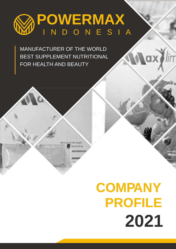# **POWERMAX** S I N D O N E S I A

MANUFACTURER OF THE WORLD BEST SUPPLEMENT NUTRITIONAL FOR HEALTH AND BEAUTY



# **COMPANY PROFILE 2021**

lim

kax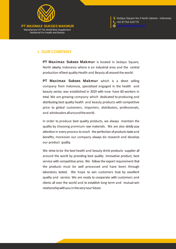

**PT MAXIMAX SUKSES MAKMUR** Manufacturer Of The World Best Supplement Nutritional For Health and Beauty



### **I. OUR COMPANY**

**PT Maximax Sukses Makmur** is located in Sedayu Square, North Jakarta, Indonesia where is an industrial area and the central production of best quality Health and Beauty all around the world.

**PT Maximax Sukses Makmur** which is a direct selling company from Indonesia, specialized engaged in the health and beauty sector, was established in 2019 with now have 60 workers in total. We are growing company which dedicated to producing and distributing best quality health and beauty products with competitive price to global customers, importers, distributors, professionals, and wholesalersallaroundtheworld.

In order to produce best quality products, we always maintain the quality by choosing premium raw materials. We are also strictly pay attention in every process to reach the perfection of products taste and benefits, moreover our company always do research and develop our product quality.

We strive to be the best health and beauty drink products supplier all around the world by providing best quality innovative product, best service with competitive price. We follow the export requirement that the products must be well processed and have been through laboratory tested. We hope to win customers trust by excellent quality and service. We are ready to cooperate with customers and clients all over the world and to establish long term and mutual-win relationship with you in the very near future.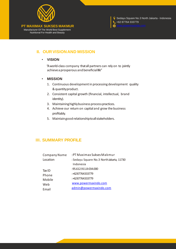

Nutritional For Health and Beauty

**PT MAXIMAX SUKSES MAKMUR** Manufacturer Of The World Best Supplement +62 87764 333779

**P** Sedayu Square No.3 North Jakarta - Indonesia

**II. OURVISIONAND MISSION**

#### • **VISION**

"A world-class company that all partners can rely on to jointly achieve a prosperous and beneficial life"

#### • **MISSION**

- 1. Continuous developmentin processing development quality &quantityproduct.
- 2. Consistent capital growth (financial, intellectual, brand identity).
- 3. Maintaining highly business process practices.
- 4. Achieve our return on capital and grow the business profitably.
- 5. Maintaingood relationshiptoallstakeholders.

# **III. SUMMARY PROFILE**

| : PT Maximax Sukses Makmur               |
|------------------------------------------|
| : Sedayu Square No.3 NorthJakarta, 11730 |
| Indonesia                                |
| :95.612.911.8-034.000                    |
| : +6287764333779                         |
| : +6287764333779                         |
| www.powermaxindo.com                     |
| admin@powermaxindo.com                   |
|                                          |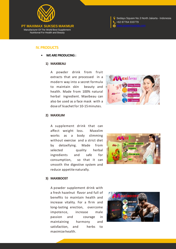

**PT MAXIMAX SUKSES MAKMUR** Manufacturer Of The World Best Supplement Nutritional For Health and Beauty



#### **IV. PRODUCTS**

• **WE ARE PRODUCING :**

#### **1) MAXIBEAU**

A powder drink from fruit extracts that are processed in a modern way into a secret formula to maintain skin beauty and health. Made from 100% natural herbal ingredient. Maxibeau can also be used as a face mask with a dose of ¼sachet for 10-15 minutes.



#### **2) MAXXLIM**

A supplement drink that can affect weight loss. Maxxlim works as a body slimming without exercise and a strict diet by detoxifying. Made from selected quality herbal ingredients and safe for consumption, so that it can smooth the digestive system and reduce appetite naturally.



#### **3) MAXIBOOST**

A powder supplement drink with a fresh hazelnut flavor and full of benefits to maintain health and increase vitality. For a firm and long-lasting erection, overcome impotence, increase male passion and courage in maintaining harmony and satisfaction, and herbs to maximize health.